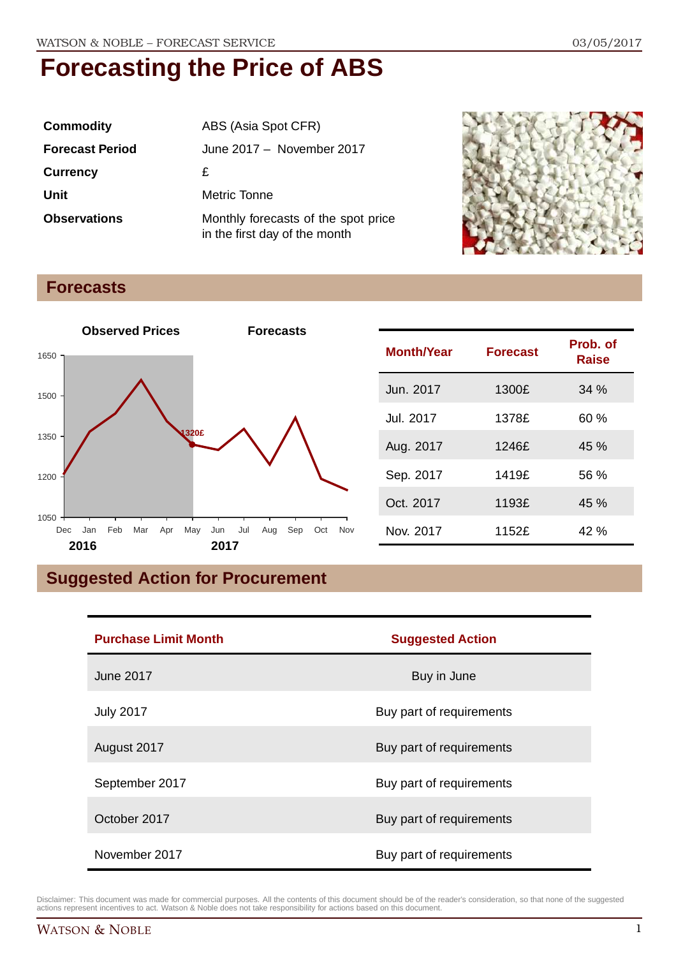| <b>Commodity</b>       | ABS (Asia Spot CFR)                                                  |
|------------------------|----------------------------------------------------------------------|
| <b>Forecast Period</b> | June 2017 - November 2017                                            |
| <b>Currency</b>        | £                                                                    |
| Unit                   | Metric Tonne                                                         |
| <b>Observations</b>    | Monthly forecasts of the spot price<br>in the first day of the month |



#### **Forecasts**



| <b>Month/Year</b> | <b>Forecast</b> | Prob. of<br><b>Raise</b> |
|-------------------|-----------------|--------------------------|
| Jun. 2017         | 1300£           | 34%                      |
| Jul. 2017         | 1378£           | 60%                      |
| Aug. 2017         | 1246f           | 45%                      |
| Sep. 2017         | 1419£           | 56 %                     |
| Oct. 2017         | 1193£           | 45 %                     |
| Nov. 2017         | 1152£           | 42 %                     |

## **Suggested Action for Procurement**

| <b>Purchase Limit Month</b> | <b>Suggested Action</b>  |  |
|-----------------------------|--------------------------|--|
| <b>June 2017</b>            | Buy in June              |  |
| <b>July 2017</b>            | Buy part of requirements |  |
| August 2017                 | Buy part of requirements |  |
| September 2017              | Buy part of requirements |  |
| October 2017                | Buy part of requirements |  |
| November 2017               | Buy part of requirements |  |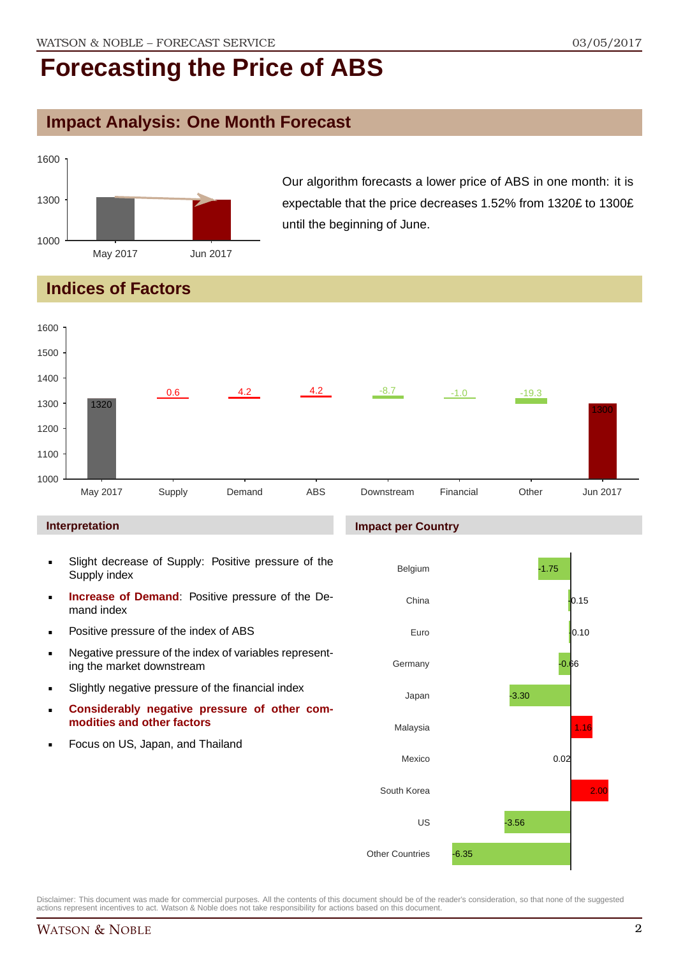### **Impact Analysis: One Month Forecast**



Our algorithm forecasts a lower price of ABS in one month: it is expectable that the price decreases 1.52% from 1320£ to 1300£ until the beginning of June.

### **Indices of Factors**



#### **Interpretation**

- Slight decrease of Supply: Positive pressure of the Supply index
- **Increase of Demand**: Positive pressure of the Demand index
- **Positive pressure of the index of ABS**
- Negative pressure of the index of variables representing the market downstream
- Slightly negative pressure of the financial index
- **Considerably negative pressure of other commodities and other factors**
- Focus on US, Japan, and Thailand

#### **Impact per Country**

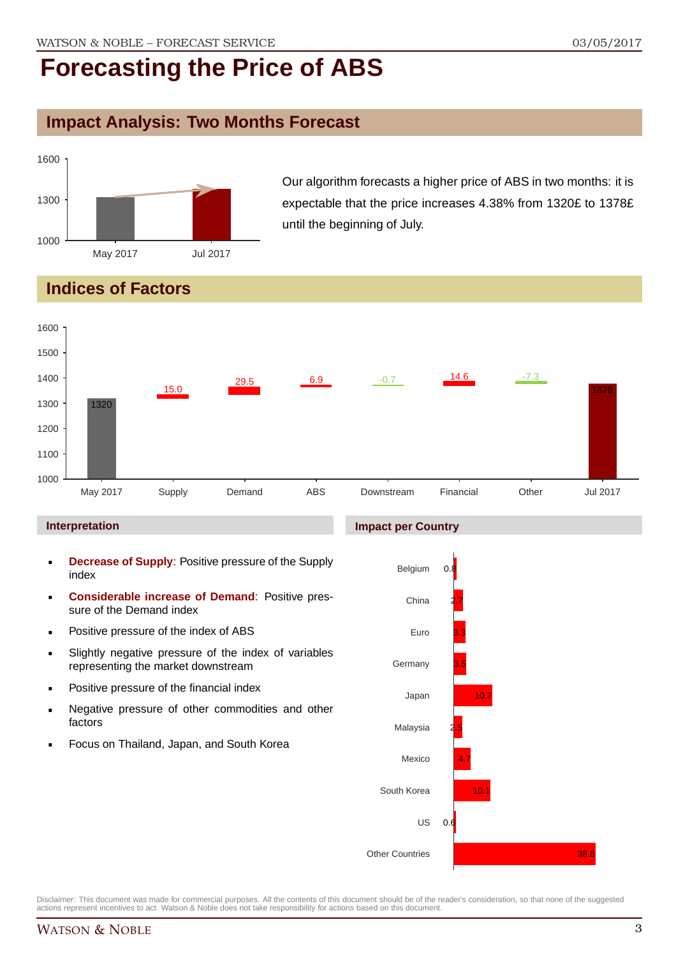#### **Impact Analysis: Two Months Forecast**



Our algorithm forecasts a higher price of ABS in two months: it is expectable that the price increases 4.38% from 1320£ to 1378£ until the beginning of July.

### **Indices of Factors**



#### **Interpretation**

- **Decrease of Supply**: Positive pressure of the Supply index
- **Considerable increase of Demand**: Positive pressure of the Demand index
- **Positive pressure of the index of ABS**
- Slightly negative pressure of the index of variables representing the market downstream
- Positive pressure of the financial index
- **Negative pressure of other commodities and other** factors
- Focus on Thailand, Japan, and South Korea

#### **Impact per Country**

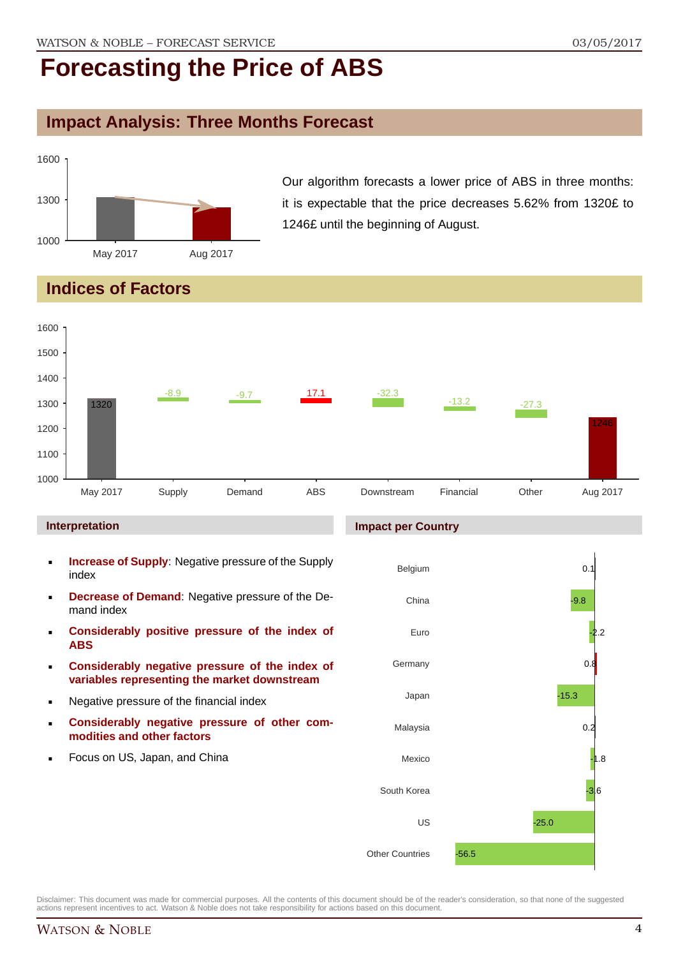### **Impact Analysis: Three Months Forecast**



Our algorithm forecasts a lower price of ABS in three months: it is expectable that the price decreases 5.62% from 1320£ to 1246£ until the beginning of August.

### **Indices of Factors**



#### **Interpretation**

- **Increase of Supply**: Negative pressure of the Supply index
- **Decrease of Demand**: Negative pressure of the Demand index
- **Considerably positive pressure of the index of ABS**
- **Considerably negative pressure of the index of variables representing the market downstream**
- Negative pressure of the financial index
- **Considerably negative pressure of other commodities and other factors**
- Focus on US, Japan, and China

#### **Impact per Country**

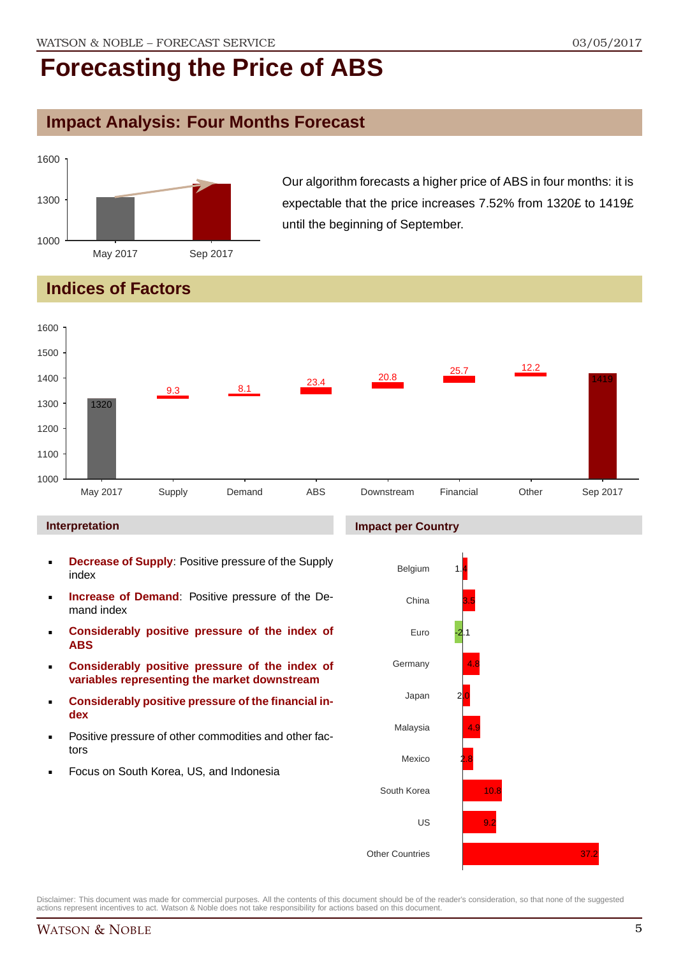### **Impact Analysis: Four Months Forecast**



Our algorithm forecasts a higher price of ABS in four months: it is expectable that the price increases 7.52% from 1320£ to 1419£ until the beginning of September.

## **Indices of Factors**



#### **Interpretation**

- **Decrease of Supply**: Positive pressure of the Supply index
- **Increase of Demand**: Positive pressure of the Demand index
- **Considerably positive pressure of the index of ABS**
- **Considerably positive pressure of the index of variables representing the market downstream**
- **Considerably positive pressure of the financial index**
- Positive pressure of other commodities and other factors
- Focus on South Korea, US, and Indonesia



Disclaimer: This document was made for commercial purposes. All the contents of this document should be of the reader's consideration, so that none of the suggested actions represent incentives to act. Watson & Noble does not take responsibility for actions based on this document.

#### WATSON & NOBLE 5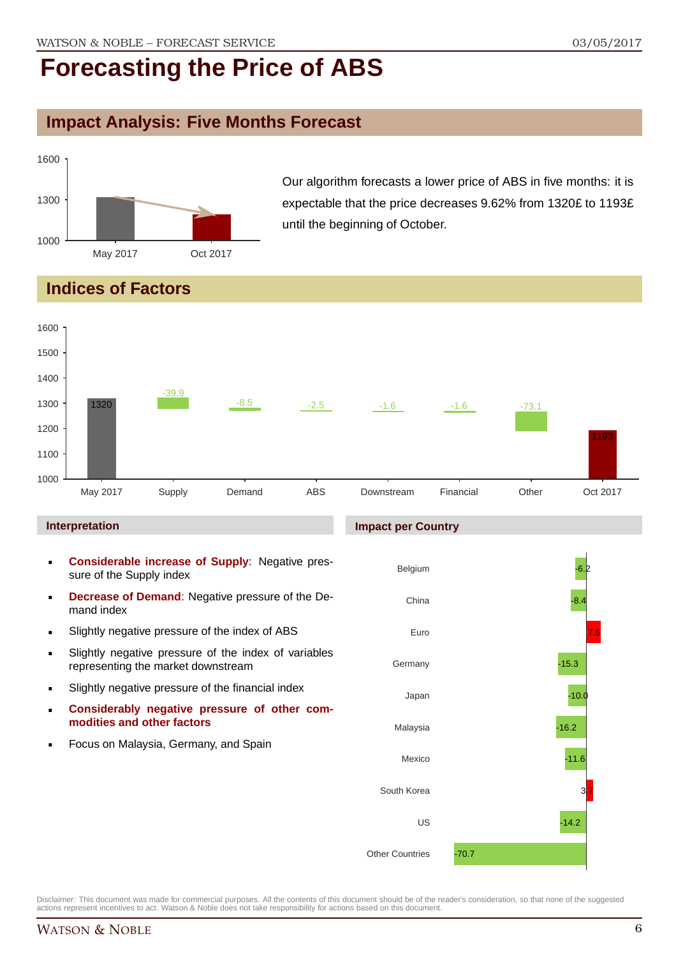### **Impact Analysis: Five Months Forecast**



Our algorithm forecasts a lower price of ABS in five months: it is expectable that the price decreases 9.62% from 1320£ to 1193£ until the beginning of October.

### **Indices of Factors**

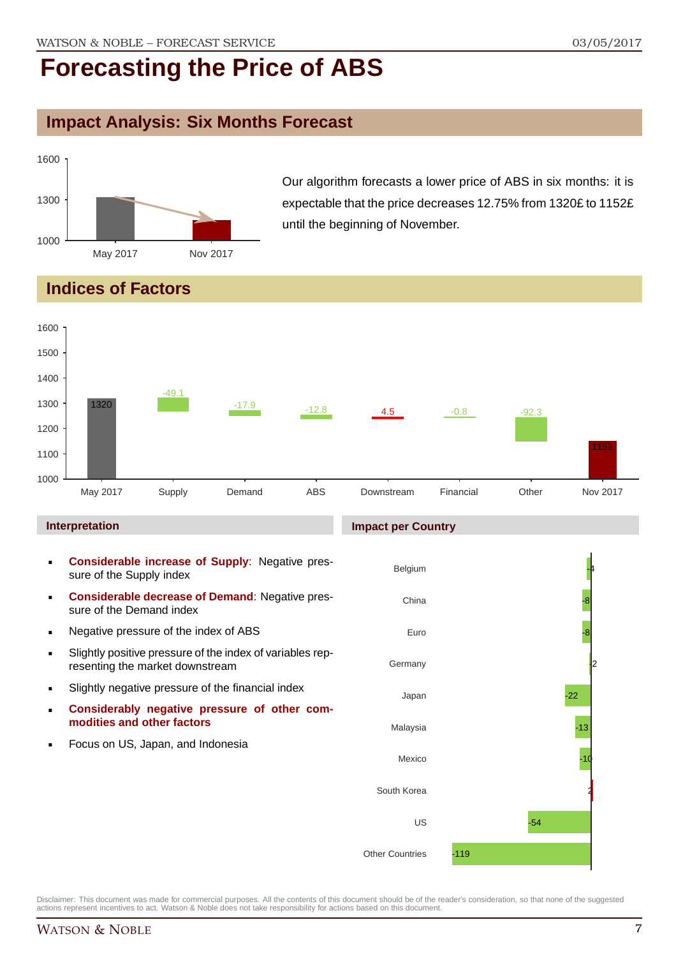### **Impact Analysis: Six Months Forecast**



Our algorithm forecasts a lower price of ABS in six months: it is expectable that the price decreases 12.75% from 1320£ to 1152£ until the beginning of November.

### **Indices of Factors**

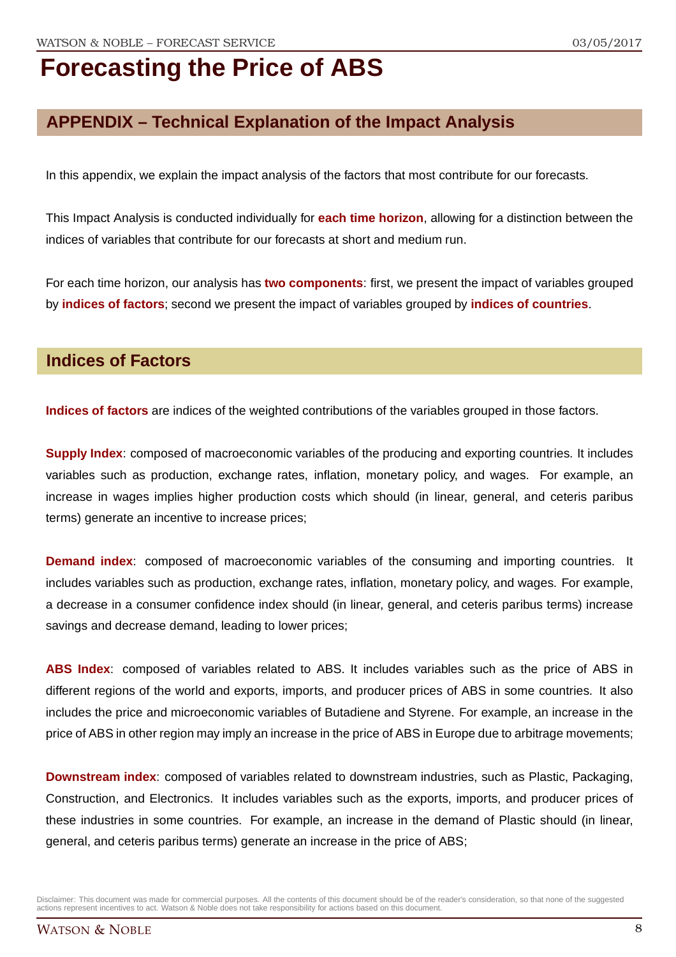### **APPENDIX – Technical Explanation of the Impact Analysis**

In this appendix, we explain the impact analysis of the factors that most contribute for our forecasts.

This Impact Analysis is conducted individually for **each time horizon**, allowing for a distinction between the indices of variables that contribute for our forecasts at short and medium run.

For each time horizon, our analysis has **two components**: first, we present the impact of variables grouped by **indices of factors**; second we present the impact of variables grouped by **indices of countries**.

#### **Indices of Factors**

**Indices of factors** are indices of the weighted contributions of the variables grouped in those factors.

**Supply Index**: composed of macroeconomic variables of the producing and exporting countries. It includes variables such as production, exchange rates, inflation, monetary policy, and wages. For example, an increase in wages implies higher production costs which should (in linear, general, and ceteris paribus terms) generate an incentive to increase prices;

**Demand index**: composed of macroeconomic variables of the consuming and importing countries. It includes variables such as production, exchange rates, inflation, monetary policy, and wages. For example, a decrease in a consumer confidence index should (in linear, general, and ceteris paribus terms) increase savings and decrease demand, leading to lower prices;

**ABS Index**: composed of variables related to ABS. It includes variables such as the price of ABS in different regions of the world and exports, imports, and producer prices of ABS in some countries. It also includes the price and microeconomic variables of Butadiene and Styrene. For example, an increase in the price of ABS in other region may imply an increase in the price of ABS in Europe due to arbitrage movements;

**Downstream index**: composed of variables related to downstream industries, such as Plastic, Packaging, Construction, and Electronics. It includes variables such as the exports, imports, and producer prices of these industries in some countries. For example, an increase in the demand of Plastic should (in linear, general, and ceteris paribus terms) generate an increase in the price of ABS;